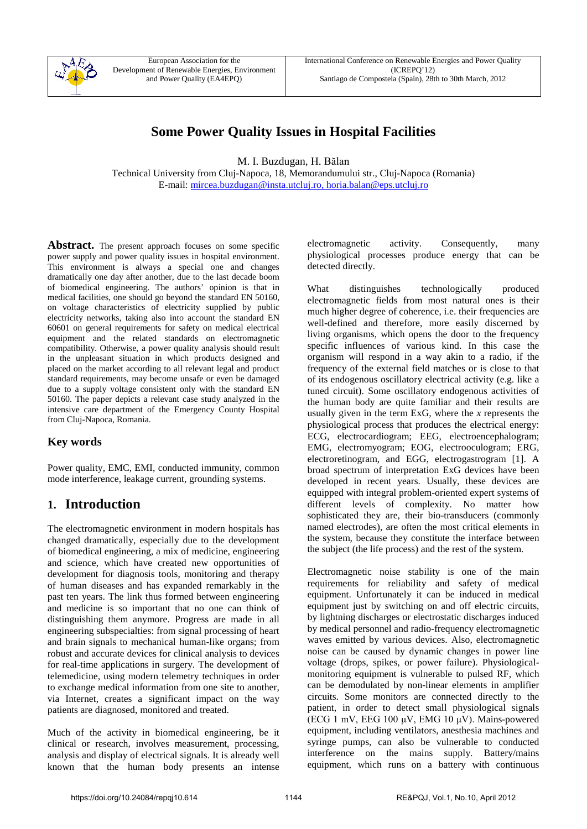

European Association for the Development of Renewable Energies, Environment and Power Quality (EA4EPQ)

# **Some Power Quality Issues in Hospital Facilities**

M. I. Buzdugan, H. Bălan

Technical University from Cluj-Napoca, 18, Memorandumului str., Cluj-Napoca (Romania) E-mail: [mircea.buzdugan@insta.utcluj.ro,](mailto:mircea.buzdugan@insta.utcluj.ro) [horia.balan@eps.utcluj.ro](mailto:horia.balan@eps.utcluj.ro)

Abstract. The present approach focuses on some specific power supply and power quality issues in hospital environment. This environment is always a special one and changes dramatically one day after another, due to the last decade boom of biomedical engineering. The authors' opinion is that in medical facilities, one should go beyond the standard EN 50160, on voltage characteristics of electricity supplied by public electricity networks, taking also into account the standard EN 60601 on general requirements for safety on medical electrical equipment and the related standards on electromagnetic compatibility. Otherwise, a power quality analysis should result in the unpleasant situation in which products designed and placed on the market according to all relevant legal and product standard requirements, may become unsafe or even be damaged due to a supply voltage consistent only with the standard EN 50160. The paper depicts a relevant case study analyzed in the intensive care department of the Emergency County Hospital from Cluj-Napoca, Romania.

## **Key words**

Power quality, EMC, EMI, conducted immunity, common mode interference, leakage current, grounding systems.

## **1. Introduction**

The electromagnetic environment in modern hospitals has changed dramatically, especially due to the development of biomedical engineering, a mix of medicine, engineering and science, which have created new opportunities of development for diagnosis tools, monitoring and therapy of human diseases and has expanded remarkably in the past ten years. The link thus formed between engineering and medicine is so important that no one can think of distinguishing them anymore. Progress are made in all engineering subspecialties: from signal processing of heart and brain signals to mechanical human-like organs; from robust and accurate devices for clinical analysis to devices for real-time applications in surgery. The development of telemedicine, using modern telemetry techniques in order to exchange medical information from one site to another, via Internet, creates a significant impact on the way patients are diagnosed, monitored and treated.

Much of the activity in biomedical engineering, be it clinical or research, involves measurement, processing, analysis and display of electrical signals. It is already well known that the human body presents an intense

electromagnetic activity. Consequently, many physiological processes produce energy that can be detected directly.

What distinguishes technologically produced electromagnetic fields from most natural ones is their much higher degree of coherence, i.e. their frequencies are well-defined and therefore, more easily discerned by living organisms, which opens the door to the frequency specific influences of various kind. In this case the organism will respond in a way akin to a radio, if the frequency of the external field matches or is close to that of its endogenous oscillatory electrical activity (e.g. like a tuned circuit). Some oscillatory endogenous activities of the human body are quite familiar and their results are usually given in the term ExG, where the *x* represents the physiological process that produces the electrical energy: ECG, electrocardiogram; EEG, electroencephalogram; EMG, electromyogram; EOG, electrooculogram; ERG, electroretinogram, and EGG, electrogastrogram [1]. A broad spectrum of interpretation ExG devices have been developed in recent years. Usually, these devices are equipped with integral problem-oriented expert systems of different levels of complexity. No matter how sophisticated they are, their bio-transducers (commonly named electrodes), are often the most critical elements in the system, because they constitute the interface between the subject (the life process) and the rest of the system.

Electromagnetic noise stability is one of the main requirements for reliability and safety of medical equipment. Unfortunately it can be induced in medical equipment just by switching on and off electric circuits, by lightning discharges or electrostatic discharges induced by medical personnel and radio-frequency electromagnetic waves emitted by various devices. Also, electromagnetic noise can be caused by dynamic changes in power line voltage (drops, spikes, or power failure). Physiologicalmonitoring equipment is vulnerable to pulsed RF, which can be demodulated by non-linear elements in amplifier circuits. Some monitors are connected directly to the patient, in order to detect small physiological signals (ECG 1 mV, EEG 100  $\mu$ V, EMG 10  $\mu$ V). Mains-powered equipment, including ventilators, anesthesia machines and syringe pumps, can also be vulnerable to conducted interference on the mains supply. Battery/mains equipment, which runs on a battery with continuous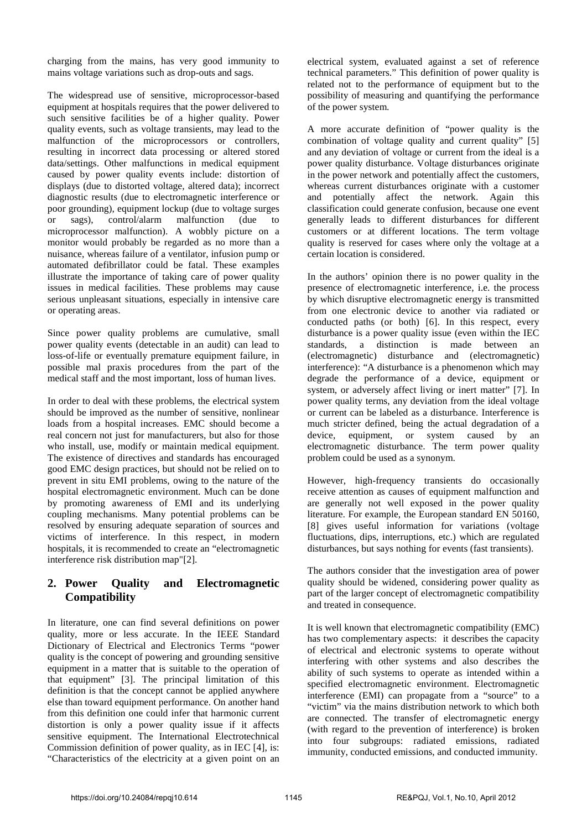charging from the mains, has very good immunity to mains voltage variations such as drop-outs and sags.

The widespread use of sensitive, microprocessor-based equipment at hospitals requires that the power delivered to such sensitive facilities be of a higher quality. Power quality events, such as voltage transients, may lead to the malfunction of the microprocessors or controllers, resulting in incorrect data processing or altered stored data/settings. Other malfunctions in medical equipment caused by power quality events include: distortion of displays (due to distorted voltage, altered data); incorrect diagnostic results (due to electromagnetic interference or poor grounding), equipment lockup (due to voltage surges or sags), control/alarm malfunction (due to control/alarm malfunction (due to microprocessor malfunction). A wobbly picture on a monitor would probably be regarded as no more than a nuisance, whereas failure of a ventilator, infusion pump or automated defibrillator could be fatal. These examples illustrate the importance of taking care of power quality issues in medical facilities. These problems may cause serious unpleasant situations, especially in intensive care or operating areas.

Since power quality problems are cumulative, small power quality events (detectable in an audit) can lead to loss-of-life or eventually premature equipment failure, in possible mal praxis procedures from the part of the medical staff and the most important, loss of human lives.

In order to deal with these problems, the electrical system should be improved as the number of sensitive, nonlinear loads from a hospital increases. EMC should become a real concern not just for manufacturers, but also for those who install, use, modify or maintain medical equipment. The existence of directives and standards has encouraged good EMC design practices, but should not be relied on to prevent in situ EMI problems, owing to the nature of the hospital electromagnetic environment. Much can be done by promoting awareness of EMI and its underlying coupling mechanisms. Many potential problems can be resolved by ensuring adequate separation of sources and victims of interference. In this respect, in modern hospitals, it is recommended to create an "electromagnetic interference risk distribution map"[2].

## **2. Power Quality and Electromagnetic Compatibility**

In literature, one can find several definitions on power quality, more or less accurate. In the IEEE Standard Dictionary of Electrical and Electronics Terms "power quality is the concept of powering and grounding sensitive equipment in a matter that is suitable to the operation of that equipment" [3]. The principal limitation of this definition is that the concept cannot be applied anywhere else than toward equipment performance. On another hand from this definition one could infer that harmonic current distortion is only a power quality issue if it affects sensitive equipment. The International Electrotechnical Commission definition of power quality, as in IEC [4], is: "Characteristics of the electricity at a given point on an electrical system, evaluated against a set of reference technical parameters." This definition of power quality is related not to the performance of equipment but to the possibility of measuring and quantifying the performance of the power system.

A more accurate definition of "power quality is the combination of voltage quality and current quality" [5] and any deviation of voltage or current from the ideal is a power quality disturbance. Voltage disturbances originate in the power network and potentially affect the customers, whereas current disturbances originate with a customer and potentially affect the network. Again this classification could generate confusion, because one event generally leads to different disturbances for different customers or at different locations. The term voltage quality is reserved for cases where only the voltage at a certain location is considered.

In the authors' opinion there is no power quality in the presence of electromagnetic interference, i.e. the process by which disruptive electromagnetic energy is transmitted from one electronic device to another via radiated or conducted paths (or both) [6]. In this respect, every disturbance is a power quality issue (even within the IEC standards, a distinction is made between an (electromagnetic) disturbance and (electromagnetic) interference): "A disturbance is a phenomenon which may degrade the performance of a device, equipment or system, or adversely affect living or inert matter" [7]. In power quality terms, any deviation from the ideal voltage or current can be labeled as a disturbance. Interference is much stricter defined, being the actual degradation of a device, equipment, or system caused by an electromagnetic disturbance. The term power quality problem could be used as a synonym.

However, high-frequency transients do occasionally receive attention as causes of equipment malfunction and are generally not well exposed in the power quality literature. For example, the European standard EN 50160, [8] gives useful information for variations (voltage fluctuations, dips, interruptions, etc.) which are regulated disturbances, but says nothing for events (fast transients).

The authors consider that the investigation area of power quality should be widened, considering power quality as part of the larger concept of electromagnetic compatibility and treated in consequence.

It is well known that electromagnetic compatibility (EMC) has two complementary aspects: it describes the capacity of electrical and electronic systems to operate without interfering with other systems and also describes the ability of such systems to operate as intended within a specified electromagnetic environment. Electromagnetic interference (EMI) can propagate from a "source" to a "victim" via the mains distribution network to which both are connected. The transfer of electromagnetic energy (with regard to the prevention of interference) is broken into four subgroups: radiated emissions, radiated immunity, conducted emissions, and conducted immunity.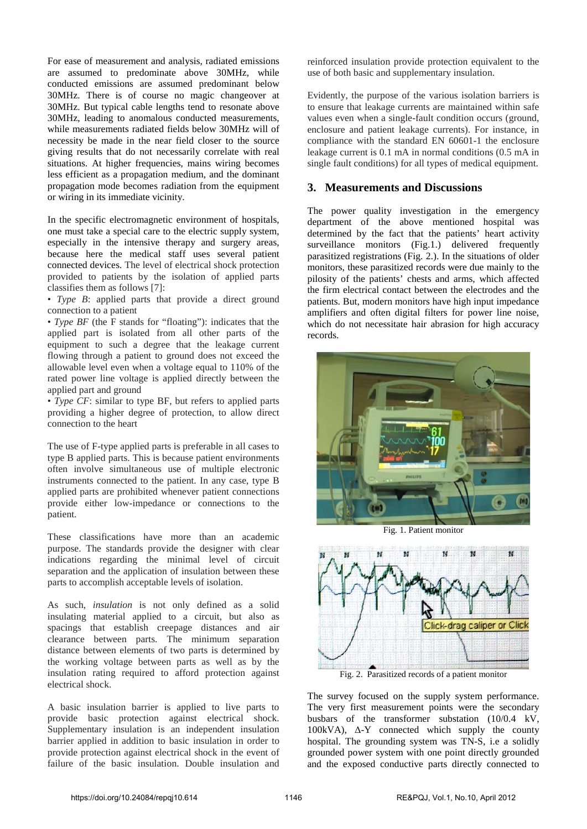For ease of measurement and analysis, radiated emissions are assumed to predominate above 30MHz, while conducted emissions are assumed predominant below 30MHz. There is of course no magic changeover at 30MHz. But typical cable lengths tend to resonate above 30MHz, leading to anomalous conducted measurements, while measurements radiated fields below 30MHz will of necessity be made in the near field closer to the source giving results that do not necessarily correlate with real situations. At higher frequencies, mains wiring becomes less efficient as a propagation medium, and the dominant propagation mode becomes radiation from the equipment or wiring in its immediate vicinity.

In the specific electromagnetic environment of hospitals, one must take a special care to the electric supply system, especially in the intensive therapy and surgery areas, because here the medical staff uses several patient connected devices. The level of electrical shock protection provided to patients by the isolation of applied parts classifies them as follows [7]:

• *Type B*: applied parts that provide a direct ground connection to a patient

• *Type BF* (the F stands for "floating"): indicates that the applied part is isolated from all other parts of the equipment to such a degree that the leakage current flowing through a patient to ground does not exceed the allowable level even when a voltage equal to 110% of the rated power line voltage is applied directly between the applied part and ground

• *Type CF*: similar to type BF, but refers to applied parts providing a higher degree of protection, to allow direct connection to the heart

The use of F-type applied parts is preferable in all cases to type B applied parts. This is because patient environments often involve simultaneous use of multiple electronic instruments connected to the patient. In any case, type B applied parts are prohibited whenever patient connections provide either low-impedance or connections to the patient.

These classifications have more than an academic purpose. The standards provide the designer with clear indications regarding the minimal level of circuit separation and the application of insulation between these parts to accomplish acceptable levels of isolation.

As such, *insulation* is not only defined as a solid insulating material applied to a circuit, but also as spacings that establish creepage distances and air clearance between parts. The minimum separation distance between elements of two parts is determined by the working voltage between parts as well as by the insulation rating required to afford protection against electrical shock.

A basic insulation barrier is applied to live parts to provide basic protection against electrical shock. Supplementary insulation is an independent insulation barrier applied in addition to basic insulation in order to provide protection against electrical shock in the event of failure of the basic insulation. Double insulation and reinforced insulation provide protection equivalent to the use of both basic and supplementary insulation.

Evidently, the purpose of the various isolation barriers is to ensure that leakage currents are maintained within safe values even when a single-fault condition occurs (ground, enclosure and patient leakage currents). For instance, in compliance with the standard EN 60601-1 the enclosure leakage current is 0.1 mA in normal conditions (0.5 mA in single fault conditions) for all types of medical equipment.

#### **3. Measurements and Discussions**

The power quality investigation in the emergency department of the above mentioned hospital was determined by the fact that the patients' heart activity surveillance monitors (Fig.1.) delivered frequently parasitized registrations (Fig. 2.). In the situations of older monitors, these parasitized records were due mainly to the pilosity of the patients' chests and arms, which affected the firm electrical contact between the electrodes and the patients. But, modern monitors have high input impedance amplifiers and often digital filters for power line noise, which do not necessitate hair abrasion for high accuracy records.



Fig. 1. Patient monitor



Fig. 2. Parasitized records of a patient monitor

The survey focused on the supply system performance. The very first measurement points were the secondary busbars of the transformer substation (10/0.4 kV, 100kVA), Δ-Y connected which supply the county hospital. The grounding system was TN-S, i.e a solidly grounded power system with one point directly grounded and the exposed conductive parts directly connected to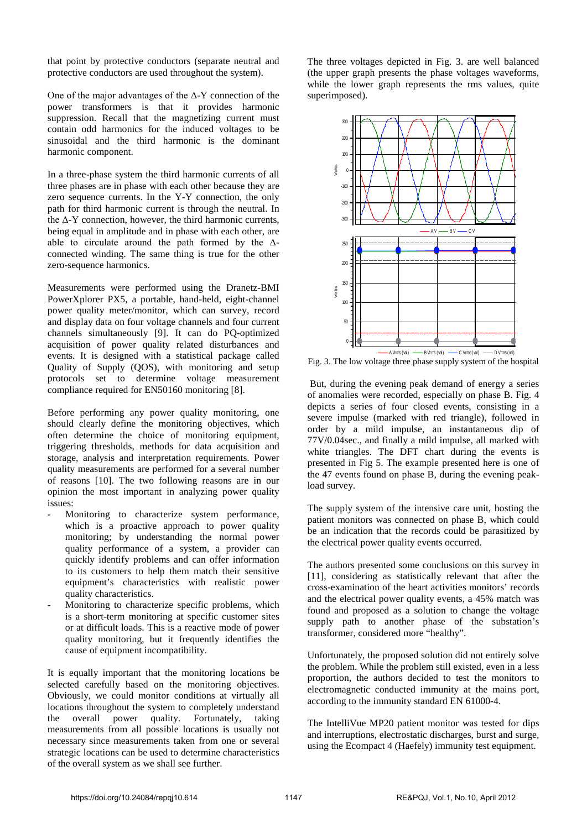that point by protective conductors (separate neutral and protective conductors are used throughout the system).

One of the major advantages of the  $\Delta$ -Y connection of the power transformers is that it provides harmonic suppression. Recall that the magnetizing current must contain odd harmonics for the induced voltages to be sinusoidal and the third harmonic is the dominant harmonic component.

In a three-phase system the third harmonic currents of all three phases are in phase with each other because they are zero sequence currents. In the Y-Y connection, the only path for third harmonic current is through the neutral. In the Δ-Y connection, however, the third harmonic currents, being equal in amplitude and in phase with each other, are able to circulate around the path formed by the  $\Delta$ connected winding. The same thing is true for the other zero-sequence harmonics.

Measurements were performed using the Dranetz-BMI PowerXplorer PX5, a portable, hand-held, eight-channel power quality meter/monitor, which can survey, record and display data on four voltage channels and four current channels simultaneously [9]. It can do PQ-optimized acquisition of power quality related disturbances and events. It is designed with a statistical package called Quality of Supply (QOS), with monitoring and setup protocols set to determine voltage measurement compliance required for EN50160 monitoring [8].

Before performing any power quality monitoring, one should clearly define the monitoring objectives, which often determine the choice of monitoring equipment, triggering thresholds, methods for data acquisition and storage, analysis and interpretation requirements. Power quality measurements are performed for a several number of reasons [10]. The two following reasons are in our opinion the most important in analyzing power quality issues:

- Monitoring to characterize system performance, which is a proactive approach to power quality monitoring; by understanding the normal power quality performance of a system, a provider can quickly identify problems and can offer information to its customers to help them match their sensitive equipment's characteristics with realistic power quality characteristics.
- Monitoring to characterize specific problems, which is a short-term monitoring at specific customer sites or at difficult loads. This is a reactive mode of power quality monitoring, but it frequently identifies the cause of equipment incompatibility.

It is equally important that the monitoring locations be selected carefully based on the monitoring objectives. Obviously, we could monitor conditions at virtually all locations throughout the system to completely understand the overall power quality. Fortunately, taking measurements from all possible locations is usually not necessary since measurements taken from one or several strategic locations can be used to determine characteristics of the overall system as we shall see further.

The three voltages depicted in Fig. 3. are well balanced (the upper graph presents the phase voltages waveforms, while the lower graph represents the rms values, quite superimposed).



Fig. 3. The low voltage three phase supply system of the hospital

 of anomalies were recorded, especially on phase B. Fig. 4 But, during the evening peak demand of energy a series depicts a series of four closed events, consisting in a severe impulse (marked with red triangle), followed in order by a mild impulse, an instantaneous dip of 77V/0.04sec., and finally a mild impulse, all marked with white triangles. The DFT chart during the events is presented in Fig 5. The example presented here is one of the 47 events found on phase B, during the evening peakload survey.

The supply system of the intensive care unit, hosting the patient monitors was connected on phase B, which could be an indication that the records could be parasitized by the electrical power quality events occurred.

The authors presented some conclusions on this survey in [11], considering as statistically relevant that after the cross-examination of the heart activities monitors' records and the electrical power quality events, a 45% match was found and proposed as a solution to change the voltage supply path to another phase of the substation's transformer, considered more "healthy".

Unfortunately, the proposed solution did not entirely solve the problem. While the problem still existed, even in a less proportion, the authors decided to test the monitors to electromagnetic conducted immunity at the mains port, according to the immunity standard EN 61000-4.

The IntelliVue MP20 patient monitor was tested for dips and interruptions, electrostatic discharges, burst and surge, using the Ecompact 4 (Haefely) immunity test equipment.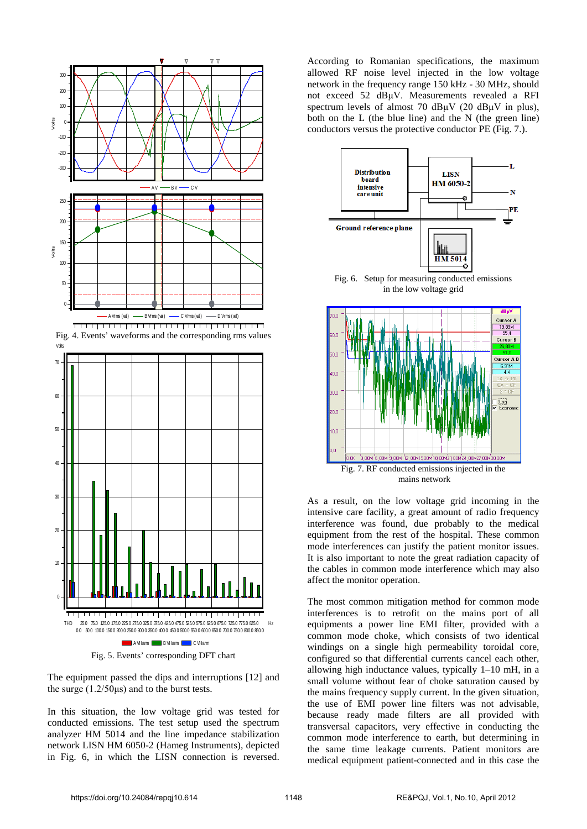

Fig. 4. Events' waveforms and the corresponding rms values



Fig. 5. Events' corresponding DFT chart

The equipment passed the dips and interruptions [12] and the surge  $(1.2/50\mu s)$  and to the burst tests.

In this situation, the low voltage grid was tested for conducted emissions. The test setup used the spectrum analyzer HM 5014 and the line impedance stabilization network LISN HM 6050-2 (Hameg Instruments), depicted in Fig. 6, in which the LISN connection is reversed.

According to Romanian specifications, the maximum allowed RF noise level injected in the low voltage network in the frequency range 150 kHz - 30 MHz, should not exceed 52 dBμV. Measurements revealed a RFI spectrum levels of almost 70  $dB\mu V$  (20  $dB\mu V$  in plus), both on the L (the blue line) and the N (the green line) conductors versus the protective conductor PE (Fig. 7.).



in the low voltage grid



As a result, on the low voltage grid incoming in the intensive care facility, a great amount of radio frequency interference was found, due probably to the medical equipment from the rest of the hospital. These common mode interferences can justify the patient monitor issues. It is also important to note the great radiation capacity of the cables in common mode interference which may also affect the monitor operation.

The most common mitigation method for common mode interferences is to retrofit on the mains port of all equipments a power line EMI filter, provided with a common mode choke, which consists of two identical windings on a single high permeability toroidal core, configured so that differential currents cancel each other, allowing high inductance values, typically 1–10 mH, in a small volume without fear of choke saturation caused by the mains frequency supply current. In the given situation, the use of EMI power line filters was not advisable, because ready made filters are all provided with transversal capacitors, very effective in conducting the common mode interference to earth, but determining in the same time leakage currents. Patient monitors are medical equipment patient-connected and in this case the